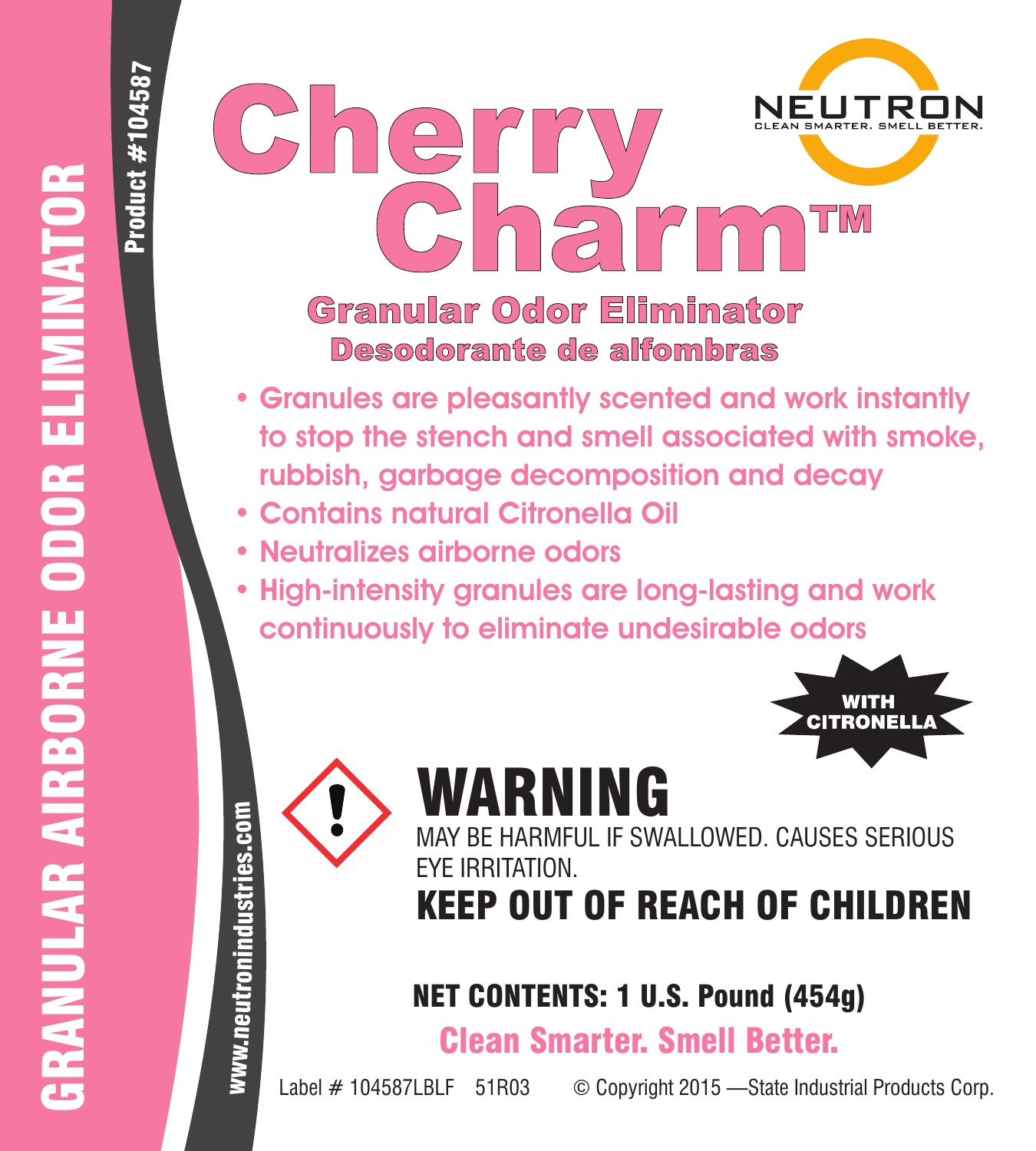Product #104587

04587



- Granules are pleasantly scented and work instantly to stop the stench and smell associated with smoke, rubbish, garbage decomposition and decay
- Contains natural Citronella Oil
- Neutralizes airborne odors
- High-intensity granules are long-lasting and work continuously to eliminate undesirable odors



# WARNING



HARMFUL IF SWALLOWED. CAUSES SERIOUS EYE IRRITATION.

# KEEP OUT OF REACH OF CHILDREN

## NET CONTENTS: 1 U.S. Pound (454g)

Clean Smarter. Smell Better.

Label # 104587LBLF 51R03 © Copyright 2015 -State Industrial Products Corp.